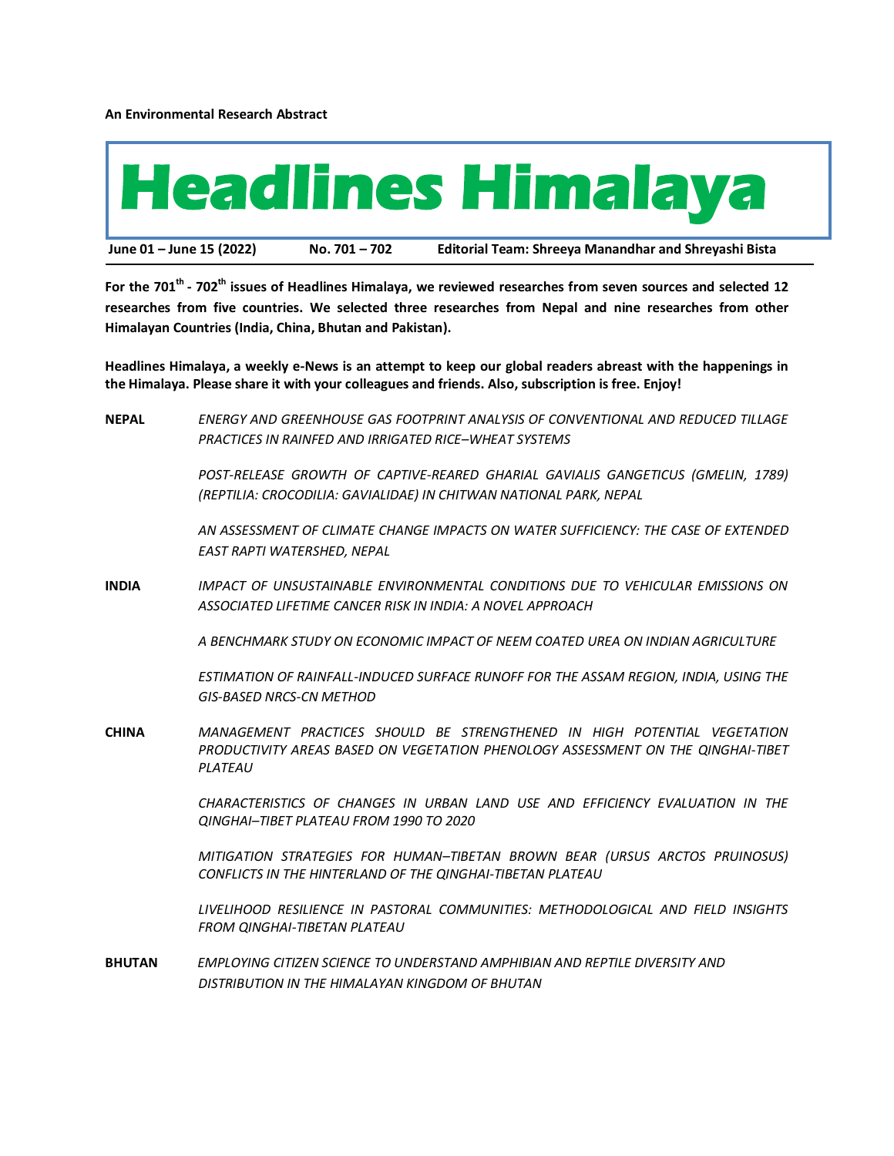**An Environmental Research Abstract**



**For the 701th - 702th issues of Headlines Himalaya, we reviewed researches from seven sources and selected 12 researches from five countries. We selected three researches from Nepal and nine researches from other Himalayan Countries (India, China, Bhutan and Pakistan).**

**Headlines Himalaya, a weekly e-News is an attempt to keep our global readers abreast with the happenings in the Himalaya. Please share it with your colleagues and friends. Also, subscription is free. Enjoy!**

**NEPAL** *ENERGY AND GREENHOUSE GAS FOOTPRINT ANALYSIS OF CONVENTIONAL AND REDUCED TILLAGE PRACTICES IN RAINFED AND IRRIGATED RICE–WHEAT SYSTEMS* POST-RELEASE GROWTH OF CAPTIVE-REARED GHARIAL GAVIALIS GANGETICUS (GMELIN, 1789) *(REPTILIA: CROCODILIA: GAVIALIDAE) IN CHITWAN NATIONAL PARK, NEPAL AN ASSESSMENT OF CLIMATE CHANGE IMPACTS ON WATER SUFFICIENCY: THE CASE OF EXTENDED EAST RAPTI WATERSHED, NEPAL* **INDIA** *IMPACT OF UNSUSTAINABLE ENVIRONMENTAL CONDITIONS DUE TO VEHICULAR EMISSIONS ON ASSOCIATED LIFETIME CANCER RISK IN INDIA: A NOVEL APPROACH A BENCHMARK STUDY ON ECONOMIC IMPACT OF NEEM COATED UREA ON INDIAN AGRICULTURE ESTIMATION OF RAINFALL-INDUCED SURFACE RUNOFF FOR THE ASSAM REGION, INDIA, USING THE GIS-BASED NRCS-CN METHOD* **CHINA** *MANAGEMENT PRACTICES SHOULD BE STRENGTHENED IN HIGH POTENTIAL VEGETATION PRODUCTIVITY AREAS BASED ON VEGETATION PHENOLOGY ASSESSMENT ON THE QINGHAI-TIBET PLATEAU CHARACTERISTICS OF CHANGES IN URBAN LAND USE AND EFFICIENCY EVALUATION IN THE QINGHAI–TIBET PLATEAU FROM 1990 TO 2020 MITIGATION STRATEGIES FOR HUMAN–TIBETAN BROWN BEAR (URSUS ARCTOS PRUINOSUS) CONFLICTS IN THE HINTERLAND OF THE QINGHAI-TIBETAN PLATEAU LIVELIHOOD RESILIENCE IN PASTORAL COMMUNITIES: METHODOLOGICAL AND FIELD INSIGHTS FROM QINGHAI-TIBETAN PLATEAU* **BHUTAN** *EMPLOYING CITIZEN SCIENCE TO UNDERSTAND AMPHIBIAN AND REPTILE DIVERSITY AND* 

*DISTRIBUTION IN THE HIMALAYAN KINGDOM OF BHUTAN*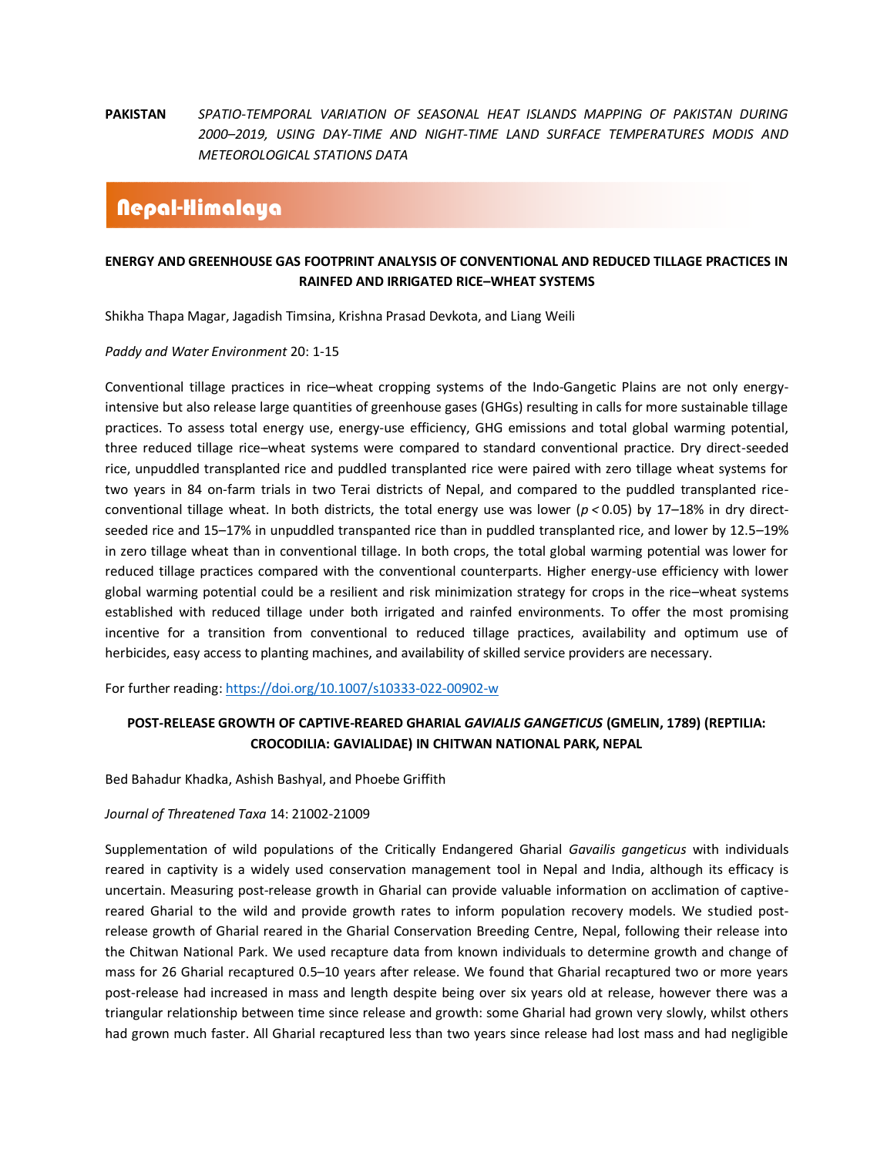**PAKISTAN** *SPATIO-TEMPORAL VARIATION OF SEASONAL HEAT ISLANDS MAPPING OF PAKISTAN DURING 2000–2019, USING DAY-TIME AND NIGHT-TIME LAND SURFACE TEMPERATURES MODIS AND METEOROLOGICAL STATIONS DATA*

## Nepal-Himalaya

## **ENERGY AND GREENHOUSE GAS FOOTPRINT ANALYSIS OF CONVENTIONAL AND REDUCED TILLAGE PRACTICES IN RAINFED AND IRRIGATED RICE–WHEAT SYSTEMS**

Shikha Thapa Magar, Jagadish Timsina, Krishna Prasad Devkota, and Liang Weili

#### *Paddy and Water Environment* 20: 1-15

Conventional tillage practices in rice–wheat cropping systems of the Indo-Gangetic Plains are not only energyintensive but also release large quantities of greenhouse gases (GHGs) resulting in calls for more sustainable tillage practices. To assess total energy use, energy-use efficiency, GHG emissions and total global warming potential, three reduced tillage rice–wheat systems were compared to standard conventional practice. Dry direct-seeded rice, unpuddled transplanted rice and puddled transplanted rice were paired with zero tillage wheat systems for two years in 84 on-farm trials in two Terai districts of Nepal, and compared to the puddled transplanted riceconventional tillage wheat. In both districts, the total energy use was lower (*p <*0.05) by 17–18% in dry directseeded rice and 15–17% in unpuddled transpanted rice than in puddled transplanted rice, and lower by 12.5–19% in zero tillage wheat than in conventional tillage. In both crops, the total global warming potential was lower for reduced tillage practices compared with the conventional counterparts. Higher energy-use efficiency with lower global warming potential could be a resilient and risk minimization strategy for crops in the rice–wheat systems established with reduced tillage under both irrigated and rainfed environments. To offer the most promising incentive for a transition from conventional to reduced tillage practices, availability and optimum use of herbicides, easy access to planting machines, and availability of skilled service providers are necessary.

For further reading: <https://doi.org/10.1007/s10333-022-00902-w>

## **POST-RELEASE GROWTH OF CAPTIVE-REARED GHARIAL** *GAVIALIS GANGETICUS* **(GMELIN, 1789) (REPTILIA: CROCODILIA: GAVIALIDAE) IN CHITWAN NATIONAL PARK, NEPAL**

Bed Bahadur Khadka, Ashish Bashyal, and Phoebe Griffith

#### *Journal of Threatened Taxa* 14: 21002-21009

Supplementation of wild populations of the Critically Endangered Gharial *Gavailis gangeticus* with individuals reared in captivity is a widely used conservation management tool in Nepal and India, although its efficacy is uncertain. Measuring post-release growth in Gharial can provide valuable information on acclimation of captivereared Gharial to the wild and provide growth rates to inform population recovery models. We studied postrelease growth of Gharial reared in the Gharial Conservation Breeding Centre, Nepal, following their release into the Chitwan National Park. We used recapture data from known individuals to determine growth and change of mass for 26 Gharial recaptured 0.5–10 years after release. We found that Gharial recaptured two or more years post-release had increased in mass and length despite being over six years old at release, however there was a triangular relationship between time since release and growth: some Gharial had grown very slowly, whilst others had grown much faster. All Gharial recaptured less than two years since release had lost mass and had negligible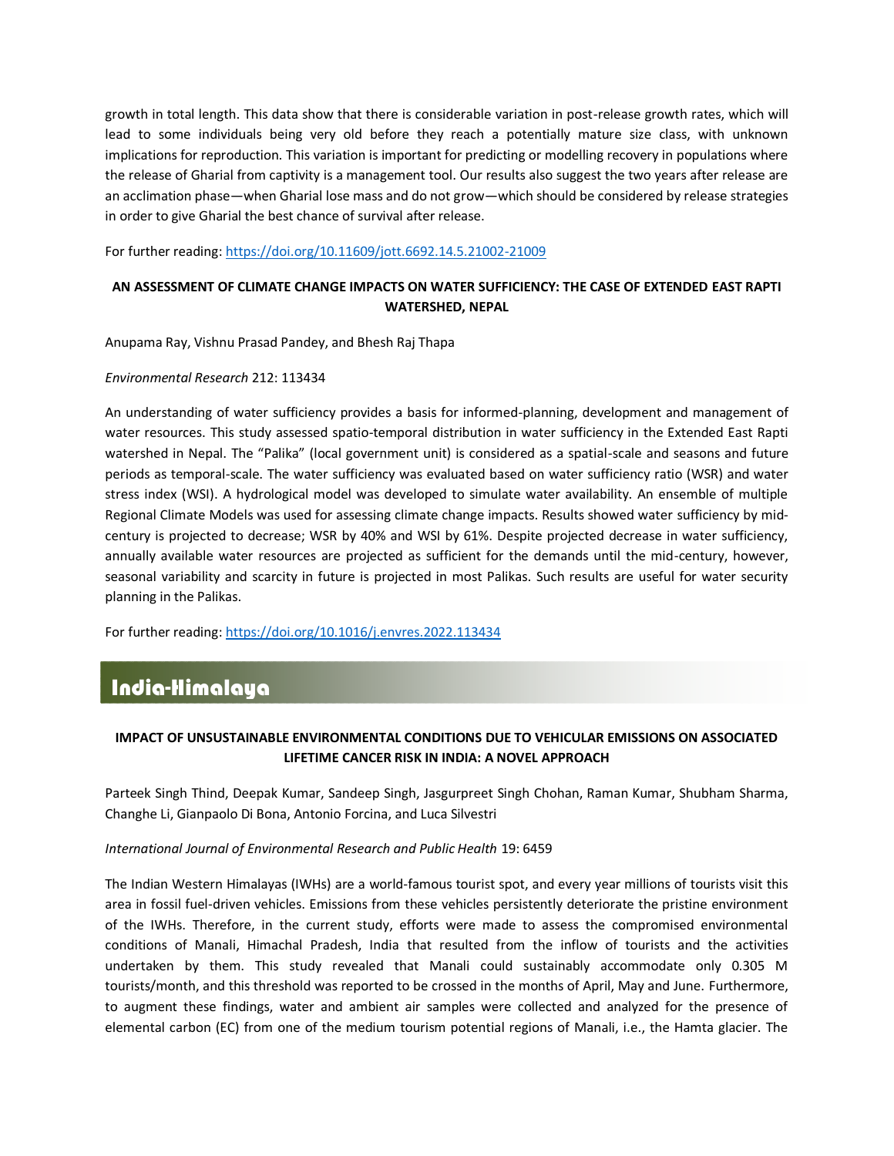growth in total length. This data show that there is considerable variation in post-release growth rates, which will lead to some individuals being very old before they reach a potentially mature size class, with unknown implications for reproduction. This variation is important for predicting or modelling recovery in populations where the release of Gharial from captivity is a management tool. Our results also suggest the two years after release are an acclimation phase—when Gharial lose mass and do not grow—which should be considered by release strategies in order to give Gharial the best chance of survival after release.

For further reading[: https://doi.org/10.11609/jott.6692.14.5.21002-21009](https://doi.org/10.11609/jott.6692.14.5.21002-21009)

## **AN ASSESSMENT OF CLIMATE CHANGE IMPACTS ON WATER SUFFICIENCY: THE CASE OF EXTENDED EAST RAPTI WATERSHED, NEPAL**

Anupama Ray, Vishnu Prasad Pandey, and Bhesh Raj Thapa

#### *Environmental Research* 212: 113434

An understanding of water sufficiency provides a basis for informed-planning, development and management of water resources. This study assessed spatio-temporal distribution in water sufficiency in the Extended East Rapti watershed in Nepal. The "Palika" (local government unit) is considered as a spatial-scale and seasons and future periods as temporal-scale. The water sufficiency was evaluated based on water sufficiency ratio (WSR) and water stress index (WSI). A hydrological model was developed to simulate water availability. An ensemble of multiple Regional Climate Models was used for assessing climate change impacts. Results showed water sufficiency by midcentury is projected to decrease; WSR by 40% and WSI by 61%. Despite projected decrease in water sufficiency, annually available water resources are projected as sufficient for the demands until the mid-century, however, seasonal variability and scarcity in future is projected in most Palikas. Such results are useful for water security planning in the Palikas.

For further reading[: https://doi.org/10.1016/j.envres.2022.113434](https://doi.org/10.1016/j.envres.2022.113434)

## India-Himalaya

## **IMPACT OF UNSUSTAINABLE ENVIRONMENTAL CONDITIONS DUE TO VEHICULAR EMISSIONS ON ASSOCIATED LIFETIME CANCER RISK IN INDIA: A NOVEL APPROACH**

Parteek Singh Thind, Deepak Kumar, Sandeep Singh, Jasgurpreet Singh Chohan, Raman Kumar, Shubham Sharma, Changhe Li, Gianpaolo Di Bona, Antonio Forcina, and Luca Silvestri

#### *International Journal of Environmental Research and Public Health* 19: 6459

The Indian Western Himalayas (IWHs) are a world-famous tourist spot, and every year millions of tourists visit this area in fossil fuel-driven vehicles. Emissions from these vehicles persistently deteriorate the pristine environment of the IWHs. Therefore, in the current study, efforts were made to assess the compromised environmental conditions of Manali, Himachal Pradesh, India that resulted from the inflow of tourists and the activities undertaken by them. This study revealed that Manali could sustainably accommodate only 0.305 M tourists/month, and this threshold was reported to be crossed in the months of April, May and June. Furthermore, to augment these findings, water and ambient air samples were collected and analyzed for the presence of elemental carbon (EC) from one of the medium tourism potential regions of Manali, i.e., the Hamta glacier. The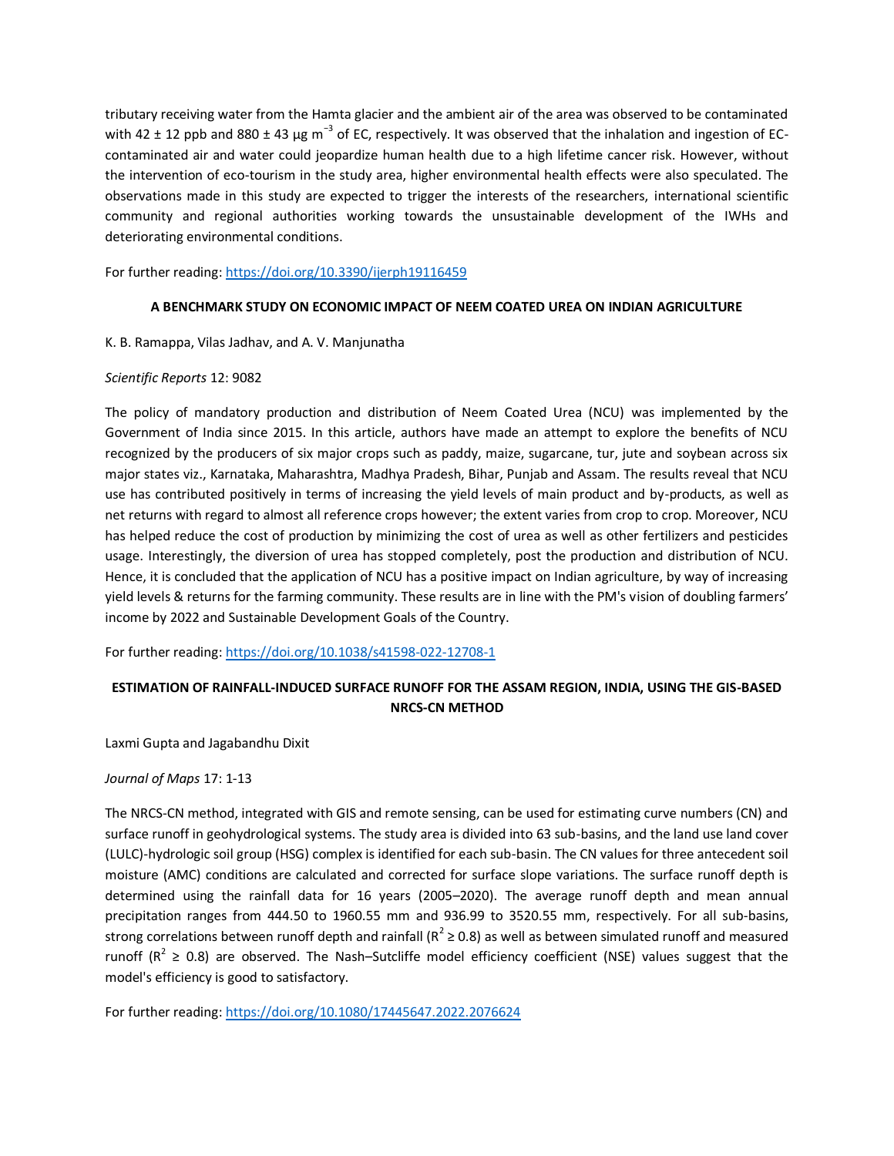tributary receiving water from the Hamta glacier and the ambient air of the area was observed to be contaminated with 42 ± 12 ppb and 880 ± 43 µg m<sup>-3</sup> of EC, respectively. It was observed that the inhalation and ingestion of ECcontaminated air and water could jeopardize human health due to a high lifetime cancer risk. However, without the intervention of eco-tourism in the study area, higher environmental health effects were also speculated. The observations made in this study are expected to trigger the interests of the researchers, international scientific community and regional authorities working towards the unsustainable development of the IWHs and deteriorating environmental conditions.

For further reading[: https://doi.org/10.3390/ijerph19116459](https://doi.org/10.3390/ijerph19116459)

#### **A BENCHMARK STUDY ON ECONOMIC IMPACT OF NEEM COATED UREA ON INDIAN AGRICULTURE**

#### K. B. Ramappa, Vilas Jadhav, and A. V. Manjunatha

#### *Scientific Reports* 12: 9082

The policy of mandatory production and distribution of Neem Coated Urea (NCU) was implemented by the Government of India since 2015. In this article, authors have made an attempt to explore the benefits of NCU recognized by the producers of six major crops such as paddy, maize, sugarcane, tur, jute and soybean across six major states viz., Karnataka, Maharashtra, Madhya Pradesh, Bihar, Punjab and Assam. The results reveal that NCU use has contributed positively in terms of increasing the yield levels of main product and by-products, as well as net returns with regard to almost all reference crops however; the extent varies from crop to crop. Moreover, NCU has helped reduce the cost of production by minimizing the cost of urea as well as other fertilizers and pesticides usage. Interestingly, the diversion of urea has stopped completely, post the production and distribution of NCU. Hence, it is concluded that the application of NCU has a positive impact on Indian agriculture, by way of increasing yield levels & returns for the farming community. These results are in line with the PM's vision of doubling farmers' income by 2022 and Sustainable Development Goals of the Country.

For further reading[: https://doi.org/10.1038/s41598-022-12708-1](https://doi.org/10.1038/s41598-022-12708-1)

## **ESTIMATION OF RAINFALL-INDUCED SURFACE RUNOFF FOR THE ASSAM REGION, INDIA, USING THE GIS-BASED NRCS-CN METHOD**

Laxmi Gupta and Jagabandhu Dixit

#### *Journal of Maps* 17: 1-13

The NRCS-CN method, integrated with GIS and remote sensing, can be used for estimating curve numbers (CN) and surface runoff in geohydrological systems. The study area is divided into 63 sub-basins, and the land use land cover (LULC)-hydrologic soil group (HSG) complex is identified for each sub-basin. The CN values for three antecedent soil moisture (AMC) conditions are calculated and corrected for surface slope variations. The surface runoff depth is determined using the rainfall data for 16 years (2005–2020). The average runoff depth and mean annual precipitation ranges from 444.50 to 1960.55 mm and 936.99 to 3520.55 mm, respectively. For all sub-basins, strong correlations between runoff depth and rainfall ( $R^2 \geq 0.8$ ) as well as between simulated runoff and measured runoff ( $R^2 \ge 0.8$ ) are observed. The Nash–Sutcliffe model efficiency coefficient (NSE) values suggest that the model's efficiency is good to satisfactory.

For further reading[: https://doi.org/10.1080/17445647.2022.2076624](https://doi.org/10.1080/17445647.2022.2076624)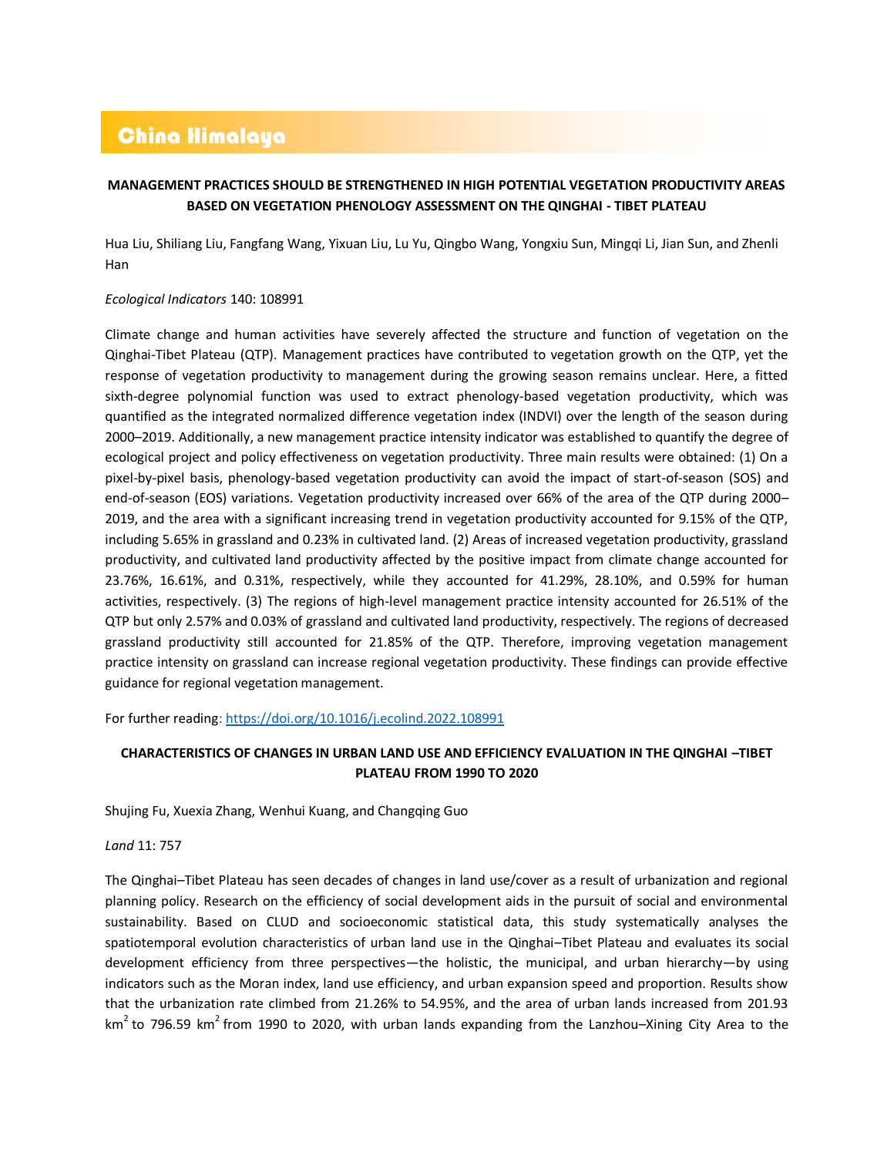# China Himalaya

## **MANAGEMENT PRACTICES SHOULD BE STRENGTHENED IN HIGH POTENTIAL VEGETATION PRODUCTIVITY AREAS BASED ON VEGETATION PHENOLOGY ASSESSMENT ON THE QINGHAI - TIBET PLATEAU**

Hua Liu, Shiliang Liu, Fangfang Wang, Yixuan Liu, Lu Yu, Qingbo Wang, Yongxiu Sun, Mingqi Li, Jian Sun, and Zhenli Han

#### *Ecological Indicators* 140: 108991

Climate change and human activities have severely affected the structure and function of vegetation on the Qinghai-Tibet Plateau (QTP). Management practices have contributed to vegetation growth on the QTP, yet the response of vegetation productivity to management during the growing season remains unclear. Here, a fitted sixth-degree polynomial function was used to extract phenology-based vegetation productivity, which was quantified as the integrated normalized difference vegetation index (INDVI) over the length of the season during 2000–2019. Additionally, a new management practice intensity indicator was established to quantify the degree of ecological project and policy effectiveness on vegetation productivity. Three main results were obtained: (1) On a pixel-by-pixel basis, phenology-based vegetation productivity can avoid the impact of start-of-season (SOS) and end-of-season (EOS) variations. Vegetation productivity increased over 66% of the area of the QTP during 2000– 2019, and the area with a significant increasing trend in vegetation productivity accounted for 9.15% of the QTP, including 5.65% in grassland and 0.23% in cultivated land. (2) Areas of increased vegetation productivity, grassland productivity, and cultivated land productivity affected by the positive impact from climate change accounted for 23.76%, 16.61%, and 0.31%, respectively, while they accounted for 41.29%, 28.10%, and 0.59% for human activities, respectively. (3) The regions of high-level management practice intensity accounted for 26.51% of the QTP but only 2.57% and 0.03% of grassland and cultivated land productivity, respectively. The regions of decreased grassland productivity still accounted for 21.85% of the QTP. Therefore, improving vegetation management practice intensity on grassland can increase regional vegetation productivity. These findings can provide effective guidance for regional vegetation management.

For further reading[: https://doi.org/10.1016/j.ecolind.2022.108991](https://doi.org/10.1016/j.ecolind.2022.108991)

## **CHARACTERISTICS OF CHANGES IN URBAN LAND USE AND EFFICIENCY EVALUATION IN THE QINGHAI –TIBET PLATEAU FROM 1990 TO 2020**

Shujing Fu, Xuexia Zhang, Wenhui Kuang, and Changqing Guo

*Land* 11: 757

The Qinghai–Tibet Plateau has seen decades of changes in land use/cover as a result of urbanization and regional planning policy. Research on the efficiency of social development aids in the pursuit of social and environmental sustainability. Based on CLUD and socioeconomic statistical data, this study systematically analyses the spatiotemporal evolution characteristics of urban land use in the Qinghai–Tibet Plateau and evaluates its social development efficiency from three perspectives—the holistic, the municipal, and urban hierarchy—by using indicators such as the Moran index, land use efficiency, and urban expansion speed and proportion. Results show that the urbanization rate climbed from 21.26% to 54.95%, and the area of urban lands increased from 201.93 km<sup>2</sup> to 796.59 km<sup>2</sup> from 1990 to 2020, with urban lands expanding from the Lanzhou–Xining City Area to the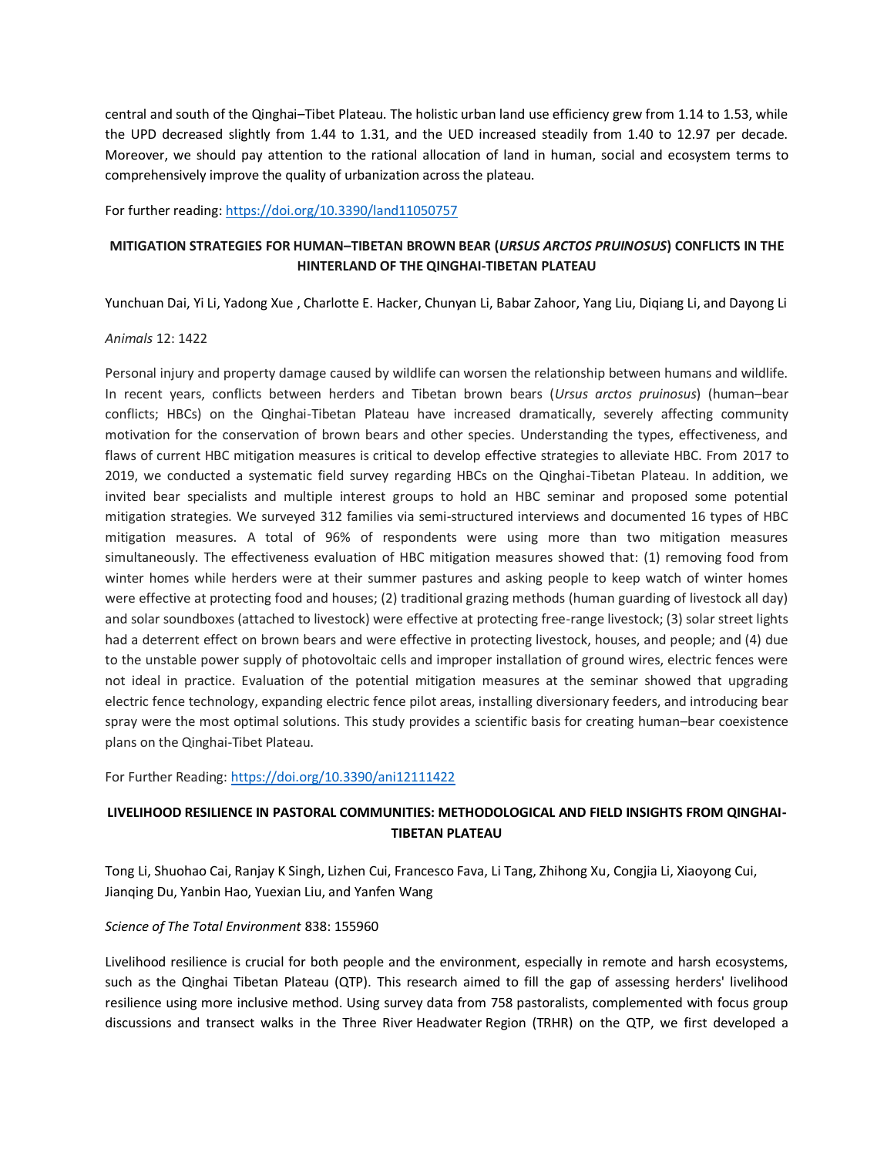central and south of the Qinghai–Tibet Plateau. The holistic urban land use efficiency grew from 1.14 to 1.53, while the UPD decreased slightly from 1.44 to 1.31, and the UED increased steadily from 1.40 to 12.97 per decade. Moreover, we should pay attention to the rational allocation of land in human, social and ecosystem terms to comprehensively improve the quality of urbanization across the plateau.

For further reading[: https://doi.org/10.3390/land11050757](https://doi.org/10.3390/land11050757)

### **MITIGATION STRATEGIES FOR HUMAN–TIBETAN BROWN BEAR (***URSUS ARCTOS PRUINOSUS***) CONFLICTS IN THE HINTERLAND OF THE QINGHAI-TIBETAN PLATEAU**

Yunchuan Dai, Yi Li, Yadong Xue , Charlotte E. Hacker, Chunyan Li, Babar Zahoor, Yang Liu, Diqiang Li, and Dayong Li

#### *Animals* 12: 1422

Personal injury and property damage caused by wildlife can worsen the relationship between humans and wildlife. In recent years, conflicts between herders and Tibetan brown bears (*Ursus arctos pruinosus*) (human–bear conflicts; HBCs) on the Qinghai-Tibetan Plateau have increased dramatically, severely affecting community motivation for the conservation of brown bears and other species. Understanding the types, effectiveness, and flaws of current HBC mitigation measures is critical to develop effective strategies to alleviate HBC. From 2017 to 2019, we conducted a systematic field survey regarding HBCs on the Qinghai-Tibetan Plateau. In addition, we invited bear specialists and multiple interest groups to hold an HBC seminar and proposed some potential mitigation strategies. We surveyed 312 families via semi-structured interviews and documented 16 types of HBC mitigation measures. A total of 96% of respondents were using more than two mitigation measures simultaneously. The effectiveness evaluation of HBC mitigation measures showed that: (1) removing food from winter homes while herders were at their summer pastures and asking people to keep watch of winter homes were effective at protecting food and houses; (2) traditional grazing methods (human guarding of livestock all day) and solar soundboxes (attached to livestock) were effective at protecting free-range livestock; (3) solar street lights had a deterrent effect on brown bears and were effective in protecting livestock, houses, and people; and (4) due to the unstable power supply of photovoltaic cells and improper installation of ground wires, electric fences were not ideal in practice. Evaluation of the potential mitigation measures at the seminar showed that upgrading electric fence technology, expanding electric fence pilot areas, installing diversionary feeders, and introducing bear spray were the most optimal solutions. This study provides a scientific basis for creating human–bear coexistence plans on the Qinghai-Tibet Plateau.

For Further Reading:<https://doi.org/10.3390/ani12111422>

### **LIVELIHOOD RESILIENCE IN PASTORAL COMMUNITIES: METHODOLOGICAL AND FIELD INSIGHTS FROM QINGHAI-TIBETAN PLATEAU**

Tong Li, Shuohao Cai, Ranjay K Singh, Lizhen Cui, Francesco Fava, Li Tang, Zhihong Xu, Congjia Li, Xiaoyong Cui, Jianqing Du, Yanbin Hao, Yuexian Liu, and Yanfen Wang

#### *Science of The Total Environment* 838: 155960

Livelihood resilience is crucial for both people and the environment, especially in remote and harsh ecosystems, such as the Qinghai Tibetan Plateau (QTP). This research aimed to fill the gap of assessing herders' livelihood resilience using more inclusive method. Using survey data from 758 pastoralists, complemented with focus group discussions and transect walks in the Three River [Headwater](https://www.sciencedirect.com/topics/earth-and-planetary-sciences/headwater) Region (TRHR) on the QTP, we first developed a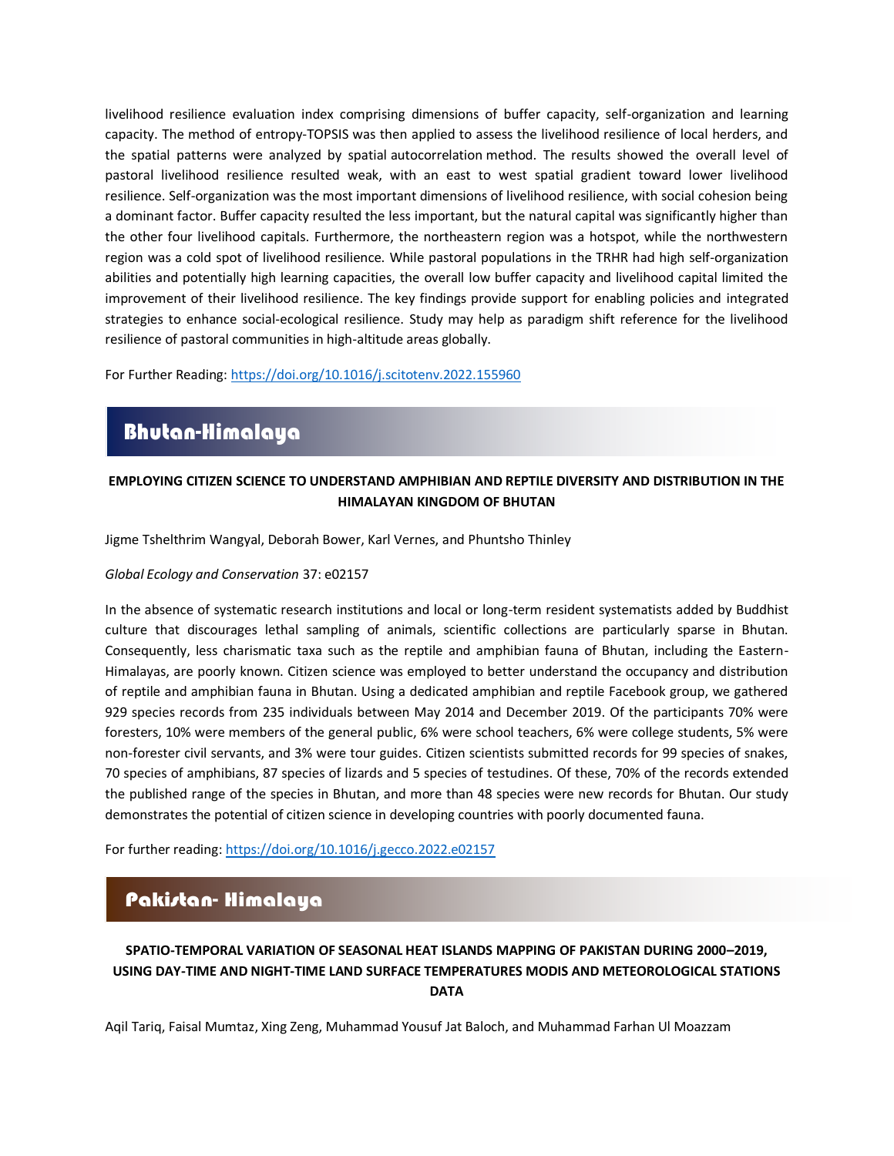livelihood resilience evaluation index comprising dimensions of buffer capacity, self-organization and learning capacity. The method of entropy-TOPSIS was then applied to assess the livelihood resilience of local herders, and the spatial patterns were analyzed by spatial [autocorrelation](https://www.sciencedirect.com/topics/earth-and-planetary-sciences/autocorrelation) method. The results showed the overall level of pastoral livelihood resilience resulted weak, with an east to west spatial gradient toward lower livelihood resilience. Self-organization was the most important dimensions of livelihood resilience, with social cohesion being a dominant factor. Buffer capacity resulted the less important, but the natural capital was significantly higher than the other four livelihood capitals. Furthermore, the northeastern region was a hotspot, while the northwestern region was a cold spot of livelihood resilience. While pastoral populations in the TRHR had high self-organization abilities and potentially high learning capacities, the overall low buffer capacity and livelihood capital limited the improvement of their livelihood resilience. The key findings provide support for enabling policies and integrated strategies to enhance social-ecological resilience. Study may help as paradigm shift reference for the livelihood resilience of pastoral communities in high-altitude areas globally.

For Further Reading:<https://doi.org/10.1016/j.scitotenv.2022.155960>

# Bhutan-Himalaya

## EMPLOYING CITIZEN SCIENCE TO UNDERSTAND AMPHIBIAN AND REPTILE DIVERSITY AND DISTRIBUTION IN THE **HIMALAYAN KINGDOM OF BHUTAN**

Jigme Tshelthrim Wangyal, Deborah Bower, Karl Vernes, and Phuntsho Thinley

#### *Global Ecology and Conservation* 37: e02157

In the absence of systematic research institutions and local or long-term resident systematists added by Buddhist culture that discourages lethal sampling of animals, scientific collections are particularly sparse in Bhutan. Consequently, less charismatic taxa such as the reptile and amphibian fauna of Bhutan, including the Eastern-Himalayas, are poorly known. Citizen science was employed to better understand the occupancy and distribution of reptile and amphibian fauna in Bhutan. Using a dedicated amphibian and reptile Facebook group, we gathered 929 species records from 235 individuals between May 2014 and December 2019. Of the participants 70% were foresters, 10% were members of the general public, 6% were school teachers, 6% were college students, 5% were non-forester civil servants, and 3% were tour guides. Citizen scientists submitted records for 99 species of snakes, 70 species of amphibians, 87 species of lizards and 5 species of [testudines.](https://www.sciencedirect.com/topics/agricultural-and-biological-sciences/testudinata) Of these, 70% of the records extended the published range of the species in Bhutan, and more than 48 species were new records for Bhutan. Our study demonstrates the potential of citizen science in developing countries with poorly documented fauna.

For further reading[: https://doi.org/10.1016/j.gecco.2022.e02157](https://doi.org/10.1016/j.gecco.2022.e02157)

## Pakistan-Himalaya

## Himalaya **SPATIO-TEMPORAL VARIATION OF SEASONAL HEAT ISLANDS MAPPING OF PAKISTAN DURING 2000–2019, USING DAY-TIME AND NIGHT-TIME LAND SURFACE TEMPERATURES MODIS AND METEOROLOGICAL STATIONS DATA**

Aqil Tariq, Faisal Mumtaz, Xing Zeng, Muhammad Yousuf Jat Baloch, and Muhammad Farhan Ul Moazzam